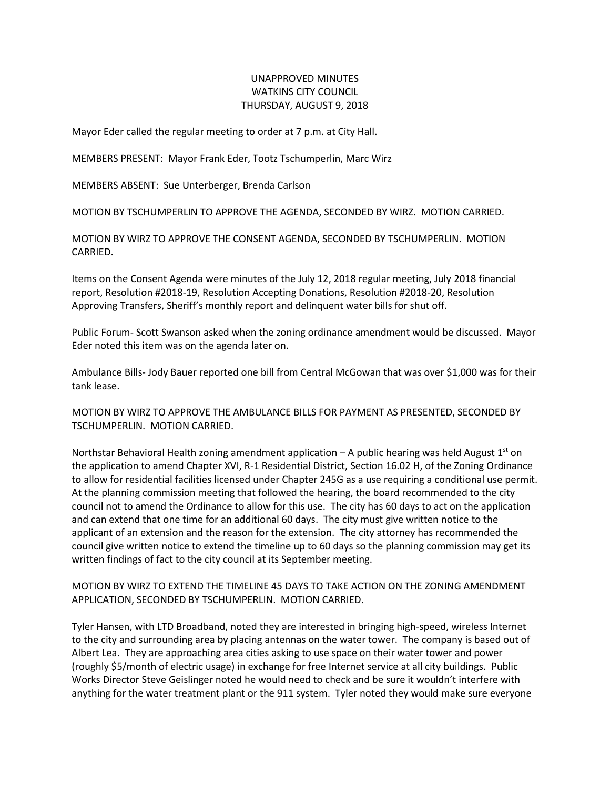## UNAPPROVED MINUTES WATKINS CITY COUNCIL THURSDAY, AUGUST 9, 2018

Mayor Eder called the regular meeting to order at 7 p.m. at City Hall.

MEMBERS PRESENT: Mayor Frank Eder, Tootz Tschumperlin, Marc Wirz

MEMBERS ABSENT: Sue Unterberger, Brenda Carlson

MOTION BY TSCHUMPERLIN TO APPROVE THE AGENDA, SECONDED BY WIRZ. MOTION CARRIED.

MOTION BY WIRZ TO APPROVE THE CONSENT AGENDA, SECONDED BY TSCHUMPERLIN. MOTION CARRIED.

Items on the Consent Agenda were minutes of the July 12, 2018 regular meeting, July 2018 financial report, Resolution #2018-19, Resolution Accepting Donations, Resolution #2018-20, Resolution Approving Transfers, Sheriff's monthly report and delinquent water bills for shut off.

Public Forum- Scott Swanson asked when the zoning ordinance amendment would be discussed. Mayor Eder noted this item was on the agenda later on.

Ambulance Bills- Jody Bauer reported one bill from Central McGowan that was over \$1,000 was for their tank lease.

MOTION BY WIRZ TO APPROVE THE AMBULANCE BILLS FOR PAYMENT AS PRESENTED, SECONDED BY TSCHUMPERLIN. MOTION CARRIED.

Northstar Behavioral Health zoning amendment application  $-$  A public hearing was held August 1<sup>st</sup> on the application to amend Chapter XVI, R-1 Residential District, Section 16.02 H, of the Zoning Ordinance to allow for residential facilities licensed under Chapter 245G as a use requiring a conditional use permit. At the planning commission meeting that followed the hearing, the board recommended to the city council not to amend the Ordinance to allow for this use. The city has 60 days to act on the application and can extend that one time for an additional 60 days. The city must give written notice to the applicant of an extension and the reason for the extension. The city attorney has recommended the council give written notice to extend the timeline up to 60 days so the planning commission may get its written findings of fact to the city council at its September meeting.

MOTION BY WIRZ TO EXTEND THE TIMELINE 45 DAYS TO TAKE ACTION ON THE ZONING AMENDMENT APPLICATION, SECONDED BY TSCHUMPERLIN. MOTION CARRIED.

Tyler Hansen, with LTD Broadband, noted they are interested in bringing high-speed, wireless Internet to the city and surrounding area by placing antennas on the water tower. The company is based out of Albert Lea. They are approaching area cities asking to use space on their water tower and power (roughly \$5/month of electric usage) in exchange for free Internet service at all city buildings. Public Works Director Steve Geislinger noted he would need to check and be sure it wouldn't interfere with anything for the water treatment plant or the 911 system. Tyler noted they would make sure everyone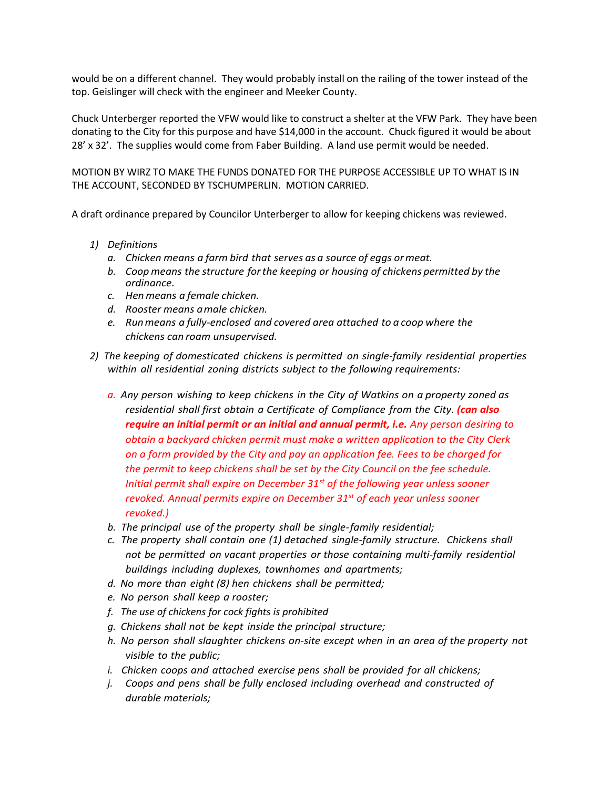would be on a different channel. They would probably install on the railing of the tower instead of the top. Geislinger will check with the engineer and Meeker County.

Chuck Unterberger reported the VFW would like to construct a shelter at the VFW Park. They have been donating to the City for this purpose and have \$14,000 in the account. Chuck figured it would be about 28' x 32'. The supplies would come from Faber Building. A land use permit would be needed.

MOTION BY WIRZ TO MAKE THE FUNDS DONATED FOR THE PURPOSE ACCESSIBLE UP TO WHAT IS IN THE ACCOUNT, SECONDED BY TSCHUMPERLIN. MOTION CARRIED.

A draft ordinance prepared by Councilor Unterberger to allow for keeping chickens was reviewed.

- *1) Definitions*
	- *a. Chicken means a farm bird that serves as a source of eggs ormeat.*
	- *b. Coop means the structure forthe keeping or housing of chickens permitted by the ordinance.*
	- *c. Henmeans a female chicken.*
	- *d. Rooster means amale chicken.*
	- *e. Runmeans a fully-enclosed and covered area attached to a coop where the chickens can roam unsupervised.*
- *2) The keeping of domesticated chickens is permitted on single-family residential properties within all residential zoning districts subject to the following requirements:*
	- *a. Any person wishing to keep chickens in the City of Watkins on a property zoned as residential shall first obtain a Certificate of Compliance from the City. (can also require an initial permit or an initial and annual permit, i.e. Any person desiring to obtain a backyard chicken permit must make a written application to the City Clerk on a form provided by the City and pay an application fee. Fees to be charged for the permit to keep chickens shall be set by the City Council on the fee schedule. Initial permit shall expire on December 31st of the following year unless sooner revoked. Annual permits expire on December 31st of each year unless sooner revoked.)*
	- *b. The principal use of the property shall be single-family residential;*
	- *c. The property shall contain one (1) detached single-family structure. Chickens shall not be permitted on vacant properties or those containing multi-family residential buildings including duplexes, townhomes and apartments;*
	- *d. No more than eight (8) hen chickens shall be permitted;*
	- *e. No person shall keep a rooster;*
	- *f. The use of chickens for cock fights is prohibited*
	- *g. Chickens shall not be kept inside the principal structure;*
	- *h. No person shall slaughter chickens on-site except when in an area of the property not visible to the public;*
	- *i. Chicken coops and attached exercise pens shall be provided for all chickens;*
	- *j. Coops and pens shall be fully enclosed including overhead and constructed of durable materials;*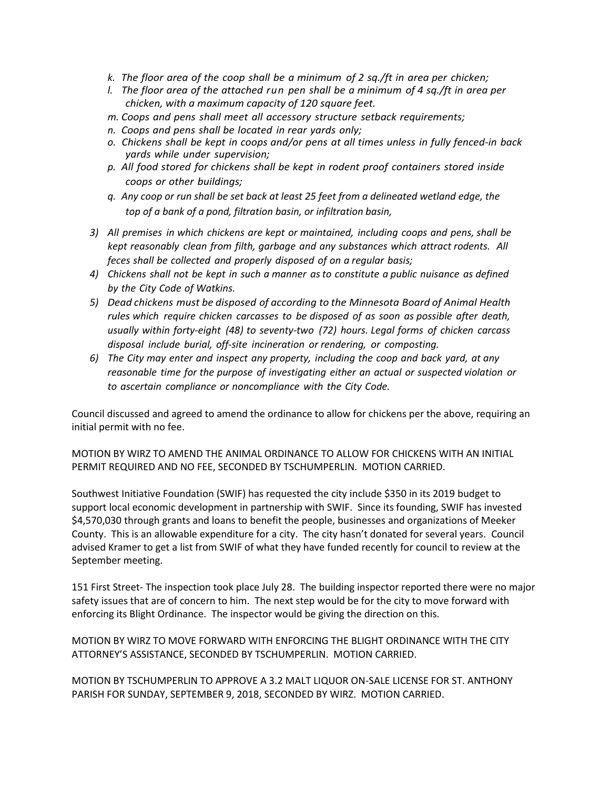- *k. The floor area of the coop shall be a minimum of 2 sq./ft in area per chicken;*
- *l. The floor area of the attached run pen shall be a minimum of 4 sq./ft in area per chicken, with a maximum capacity of 120 square feet.*
- *m. Coops and pens shall meet all accessory structure setback requirements;*
- *n. Coops and pens shall be located in rear yards only;*
- *o. Chickens shall be kept in coops and/or pens at all times unless in fully fenced-in back yards while under supervision;*
- *p. All food stored for chickens shall be kept in rodent proof containers stored inside coops or other buildings;*
- *q. Any coop or run shall be set back at least 25 feet from a delineated wetland edge, the top of a bank of a pond, filtration basin, or infiltration basin,*
- *3) All premises in which chickens are kept or maintained, including coops and pens, shall be kept reasonably clean from filth, garbage and any substances which attract rodents. All feces shall be collected and properly disposed of on a regular basis;*
- *4) Chickens shall not be kept in such a manner asto constitute a public nuisance as defined by the City Code of Watkins.*
- *5) Dead chickens must be disposed of according to the Minnesota Board of Animal Health rules which require chicken carcasses to be disposed of as soon as possible after death, usually within forty-eight (48) to seventy-two (72) hours. Legal forms of chicken carcass disposal include burial, off-site incineration or rendering, or composting.*
- *6) The City may enter and inspect any property, including the coop and back yard, at any reasonable time for the purpose of investigating either an actual or suspected violation or to ascertain compliance or noncompliance with the City Code.*

Council discussed and agreed to amend the ordinance to allow for chickens per the above, requiring an initial permit with no fee.

MOTION BY WIRZ TO AMEND THE ANIMAL ORDINANCE TO ALLOW FOR CHICKENS WITH AN INITIAL PERMIT REQUIRED AND NO FEE, SECONDED BY TSCHUMPERLIN. MOTION CARRIED.

Southwest Initiative Foundation (SWIF) has requested the city include \$350 in its 2019 budget to support local economic development in partnership with SWIF. Since its founding, SWIF has invested \$4,570,030 through grants and loans to benefit the people, businesses and organizations of Meeker County. This is an allowable expenditure for a city. The city hasn't donated for several years. Council advised Kramer to get a list from SWIF of what they have funded recently for council to review at the September meeting.

151 First Street- The inspection took place July 28. The building inspector reported there were no major safety issues that are of concern to him. The next step would be for the city to move forward with enforcing its Blight Ordinance. The inspector would be giving the direction on this.

MOTION BY WIRZ TO MOVE FORWARD WITH ENFORCING THE BLIGHT ORDINANCE WITH THE CITY ATTORNEY'S ASSISTANCE, SECONDED BY TSCHUMPERLIN. MOTION CARRIED.

MOTION BY TSCHUMPERLIN TO APPROVE A 3.2 MALT LIQUOR ON-SALE LICENSE FOR ST. ANTHONY PARISH FOR SUNDAY, SEPTEMBER 9, 2018, SECONDED BY WIRZ. MOTION CARRIED.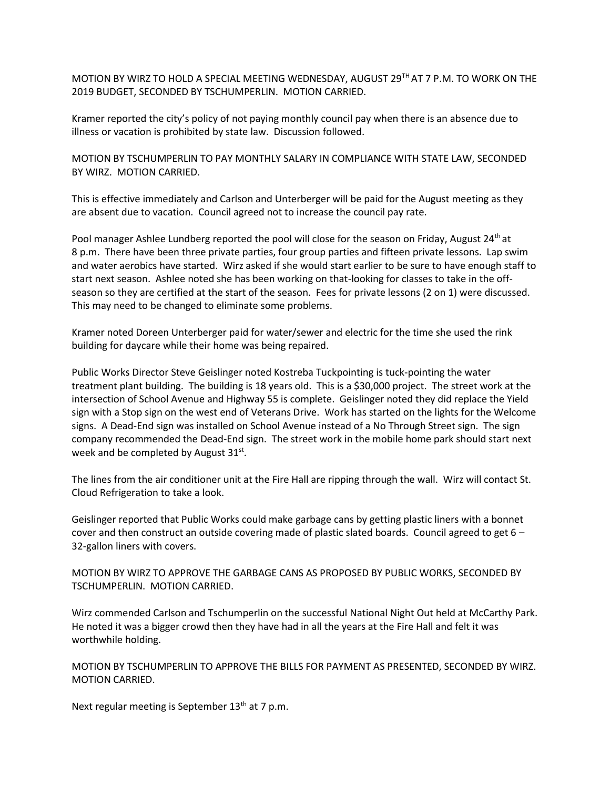MOTION BY WIRZ TO HOLD A SPECIAL MEETING WEDNESDAY, AUGUST 29TH AT 7 P.M. TO WORK ON THE 2019 BUDGET, SECONDED BY TSCHUMPERLIN. MOTION CARRIED.

Kramer reported the city's policy of not paying monthly council pay when there is an absence due to illness or vacation is prohibited by state law. Discussion followed.

MOTION BY TSCHUMPERLIN TO PAY MONTHLY SALARY IN COMPLIANCE WITH STATE LAW, SECONDED BY WIRZ. MOTION CARRIED.

This is effective immediately and Carlson and Unterberger will be paid for the August meeting as they are absent due to vacation. Council agreed not to increase the council pay rate.

Pool manager Ashlee Lundberg reported the pool will close for the season on Friday, August 24th at 8 p.m. There have been three private parties, four group parties and fifteen private lessons. Lap swim and water aerobics have started. Wirz asked if she would start earlier to be sure to have enough staff to start next season. Ashlee noted she has been working on that-looking for classes to take in the offseason so they are certified at the start of the season. Fees for private lessons (2 on 1) were discussed. This may need to be changed to eliminate some problems.

Kramer noted Doreen Unterberger paid for water/sewer and electric for the time she used the rink building for daycare while their home was being repaired.

Public Works Director Steve Geislinger noted Kostreba Tuckpointing is tuck-pointing the water treatment plant building. The building is 18 years old. This is a \$30,000 project. The street work at the intersection of School Avenue and Highway 55 is complete. Geislinger noted they did replace the Yield sign with a Stop sign on the west end of Veterans Drive. Work has started on the lights for the Welcome signs. A Dead-End sign was installed on School Avenue instead of a No Through Street sign. The sign company recommended the Dead-End sign. The street work in the mobile home park should start next week and be completed by August  $31^{st}$ .

The lines from the air conditioner unit at the Fire Hall are ripping through the wall. Wirz will contact St. Cloud Refrigeration to take a look.

Geislinger reported that Public Works could make garbage cans by getting plastic liners with a bonnet cover and then construct an outside covering made of plastic slated boards. Council agreed to get 6 – 32-gallon liners with covers.

MOTION BY WIRZ TO APPROVE THE GARBAGE CANS AS PROPOSED BY PUBLIC WORKS, SECONDED BY TSCHUMPERLIN. MOTION CARRIED.

Wirz commended Carlson and Tschumperlin on the successful National Night Out held at McCarthy Park. He noted it was a bigger crowd then they have had in all the years at the Fire Hall and felt it was worthwhile holding.

MOTION BY TSCHUMPERLIN TO APPROVE THE BILLS FOR PAYMENT AS PRESENTED, SECONDED BY WIRZ. MOTION CARRIED.

Next regular meeting is September 13<sup>th</sup> at 7 p.m.